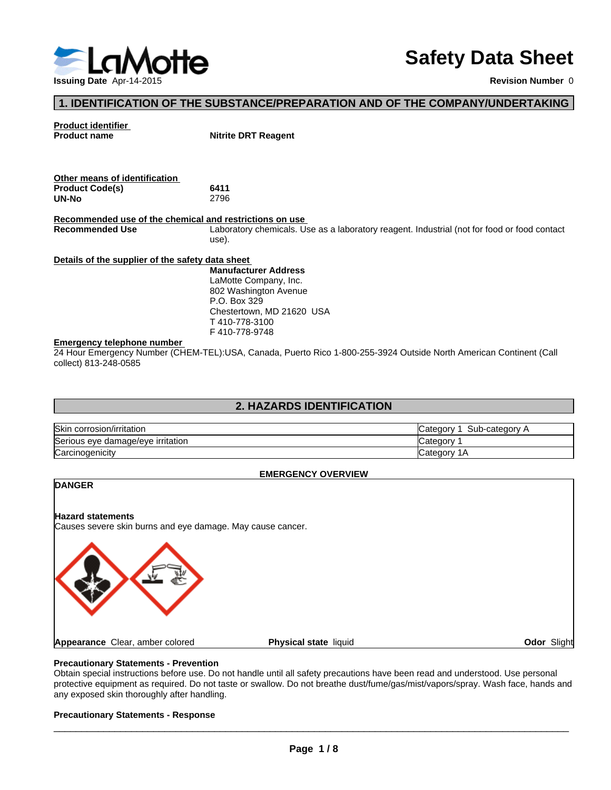

# **Safety Data Sheet**

# **1. IDENTIFICATION OF THE SUBSTANCE/PREPARATION AND OF THE COMPANY/UNDERTAKING**

# **Product identifier**

**Nitrite DRT Reagent** 

| Other means of identification |      |  |
|-------------------------------|------|--|
| <b>Product Code(s)</b>        | 6411 |  |
| UN-No                         | 2796 |  |

**Recommended use of the chemical and restrictions on use**  Laboratory chemicals. Use as a laboratory reagent. Industrial (not for food or food contact use).

#### **Details of the supplier of the safety data sheet**

**Manufacturer Address** LaMotte Company, Inc. 802 Washington Avenue P.O. Box 329 Chestertown, MD 21620 USA T 410-778-3100 F 410-778-9748

#### **Emergency telephone number**

24 Hour Emergency Number (CHEM-TEL):USA, Canada, Puerto Rico 1-800-255-3924 Outside North American Continent (Call collect) 813-248-0585

# **2. HAZARDS IDENTIFICATION**

| <b>Skin</b><br>corrosion/irritation | Sub-category<br>∟ategor⊽ |
|-------------------------------------|--------------------------|
| Serious eye damage/eye irritation   | ∵ategorٽ                 |
| Carcinogenicity                     | ′ ategoryت<br>ıн         |

#### **EMERGENCY OVERVIEW**

# **DANGER**

**Hazard statements** Causes severe skin burns and eye damage. May cause cancer.



## **Precautionary Statements - Prevention**

Obtain special instructions before use. Do not handle until all safety precautions have been read and understood. Use personal protective equipment as required. Do not taste or swallow. Do not breathe dust/fume/gas/mist/vapors/spray. Wash face, hands and any exposed skin thoroughly after handling.

#### **Precautionary Statements - Response**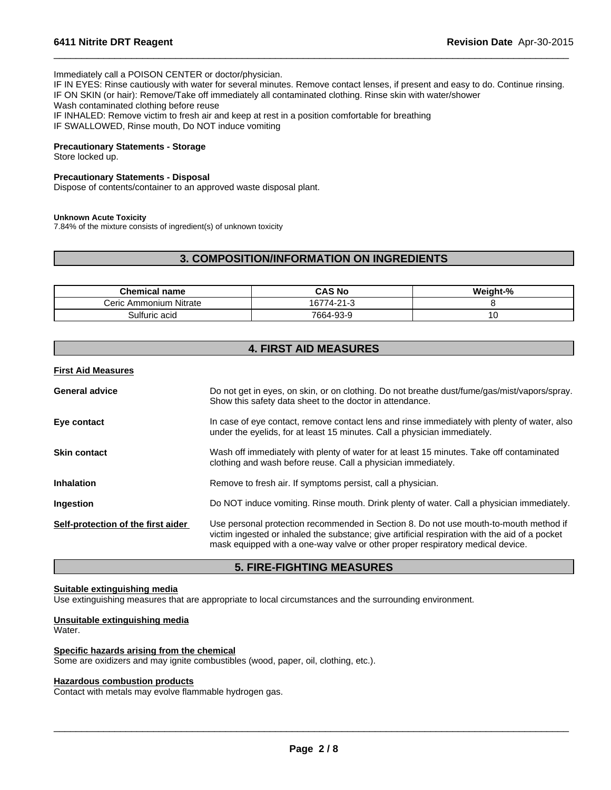Immediately call a POISON CENTER or doctor/physician.

IF IN EYES: Rinse cautiously with water for several minutes. Remove contact lenses, if present and easy to do. Continue rinsing. IF ON SKIN (or hair): Remove/Take off immediately all contaminated clothing. Rinse skin with water/shower Wash contaminated clothing before reuse IF INHALED: Remove victim to fresh air and keep at rest in a position comfortable for breathing IF SWALLOWED, Rinse mouth, Do NOT induce vomiting

 $\overline{\phantom{a}}$  ,  $\overline{\phantom{a}}$  ,  $\overline{\phantom{a}}$  ,  $\overline{\phantom{a}}$  ,  $\overline{\phantom{a}}$  ,  $\overline{\phantom{a}}$  ,  $\overline{\phantom{a}}$  ,  $\overline{\phantom{a}}$  ,  $\overline{\phantom{a}}$  ,  $\overline{\phantom{a}}$  ,  $\overline{\phantom{a}}$  ,  $\overline{\phantom{a}}$  ,  $\overline{\phantom{a}}$  ,  $\overline{\phantom{a}}$  ,  $\overline{\phantom{a}}$  ,  $\overline{\phantom{a}}$ 

### **Precautionary Statements - Storage**

Store locked up.

#### **Precautionary Statements - Disposal**

Dispose of contents/container to an approved waste disposal plant.

#### **Unknown Acute Toxicity**

7.84% of the mixture consists of ingredient(s) of unknown toxicity

# **3. COMPOSITION/INFORMATION ON INGREDIENTS**

| <b>Chemical name</b>   | <b>CAS No</b>       | Neight-% |
|------------------------|---------------------|----------|
| Ceric Ammonium Nitrate | $74-21-$<br>۱ס'<br> |          |
| 3ulfuric acid          | 7664-93-9           |          |

# **4. FIRST AID MEASURES**

#### **First Aid Measures**

| Do not get in eyes, on skin, or on clothing. Do not breathe dust/fume/gas/mist/vapors/spray.<br>Show this safety data sheet to the doctor in attendance.                                                                                                                  |
|---------------------------------------------------------------------------------------------------------------------------------------------------------------------------------------------------------------------------------------------------------------------------|
| In case of eye contact, remove contact lens and rinse immediately with plenty of water, also<br>under the eyelids, for at least 15 minutes. Call a physician immediately.                                                                                                 |
| Wash off immediately with plenty of water for at least 15 minutes. Take off contaminated<br>clothing and wash before reuse. Call a physician immediately.                                                                                                                 |
| Remove to fresh air. If symptoms persist, call a physician.                                                                                                                                                                                                               |
| Do NOT induce vomiting. Rinse mouth. Drink plenty of water. Call a physician immediately.                                                                                                                                                                                 |
| Use personal protection recommended in Section 8. Do not use mouth-to-mouth method if<br>victim ingested or inhaled the substance; give artificial respiration with the aid of a pocket<br>mask equipped with a one-way valve or other proper respiratory medical device. |
|                                                                                                                                                                                                                                                                           |

# **5. FIRE-FIGHTING MEASURES**

#### **Suitable extinguishing media**

Use extinguishing measures that are appropriate to local circumstances and the surrounding environment.

# **Unsuitable extinguishing media**

Water.

#### **Specific hazards arising from the chemical**

Some are oxidizers and may ignite combustibles (wood, paper, oil, clothing, etc.).

#### **Hazardous combustion products**

Contact with metals may evolve flammable hydrogen gas.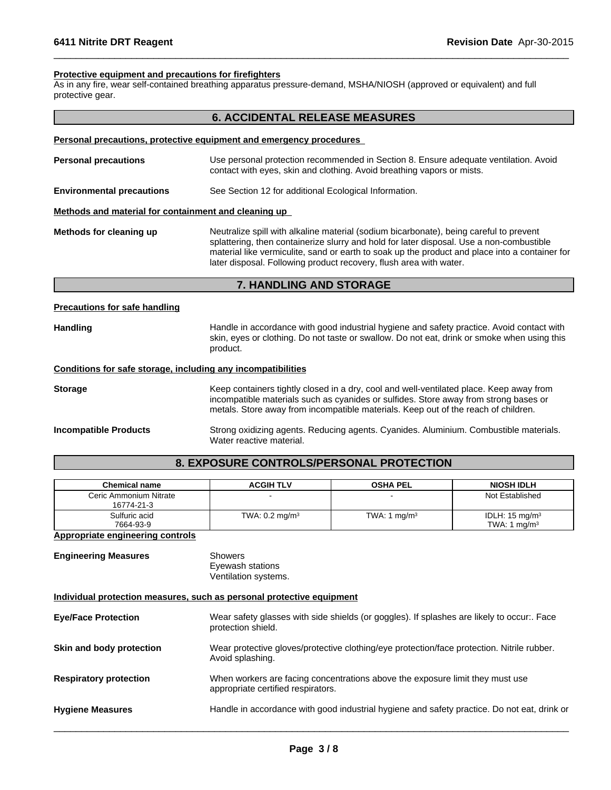### **Protective equipment and precautions for firefighters**

As in any fire, wear self-contained breathing apparatus pressure-demand, MSHA/NIOSH (approved or equivalent) and full protective gear.

# **6. ACCIDENTAL RELEASE MEASURES**

 $\overline{\phantom{a}}$  ,  $\overline{\phantom{a}}$  ,  $\overline{\phantom{a}}$  ,  $\overline{\phantom{a}}$  ,  $\overline{\phantom{a}}$  ,  $\overline{\phantom{a}}$  ,  $\overline{\phantom{a}}$  ,  $\overline{\phantom{a}}$  ,  $\overline{\phantom{a}}$  ,  $\overline{\phantom{a}}$  ,  $\overline{\phantom{a}}$  ,  $\overline{\phantom{a}}$  ,  $\overline{\phantom{a}}$  ,  $\overline{\phantom{a}}$  ,  $\overline{\phantom{a}}$  ,  $\overline{\phantom{a}}$ 

#### **Personal precautions, protective equipment and emergency procedures**

| <b>Personal precautions</b>                          | Use personal protection recommended in Section 8. Ensure adequate ventilation. Avoid<br>contact with eyes, skin and clothing. Avoid breathing vapors or mists.                                                                                                                                                                                             |
|------------------------------------------------------|------------------------------------------------------------------------------------------------------------------------------------------------------------------------------------------------------------------------------------------------------------------------------------------------------------------------------------------------------------|
| <b>Environmental precautions</b>                     | See Section 12 for additional Ecological Information.                                                                                                                                                                                                                                                                                                      |
| Methods and material for containment and cleaning up |                                                                                                                                                                                                                                                                                                                                                            |
| Methods for cleaning up                              | Neutralize spill with alkaline material (sodium bicarbonate), being careful to prevent<br>splattering, then containerize slurry and hold for later disposal. Use a non-combustible<br>material like vermiculite, sand or earth to soak up the product and place into a container for<br>later disposal. Following product recovery, flush area with water. |

# **7. HANDLING AND STORAGE**

### **Precautions for safe handling**

Handling **Handling** Handle in accordance with good industrial hygiene and safety practice. Avoid contact with skin, eyes or clothing. Do not taste or swallow. Do not eat, drink or smoke when using this product.

#### **Conditions for safe storage, including any incompatibilities**

**Storage** Keep containers tightly closed in a dry, cool and well-ventilated place. Keep away from incompatible materials such as cyanides or sulfides. Store away from strong bases or metals. Store away from incompatible materials. Keep out of the reach of children.

**Incompatible Products** Strong oxidizing agents. Reducing agents. Cyanides. Aluminium. Combustible materials. Water reactive material.

# **8. EXPOSURE CONTROLS/PERSONAL PROTECTION**

| <b>Chemical name</b>                 | <b>ACGIH TLV</b>          | <b>OSHA PEL</b>          | <b>NIOSH IDLH</b>                           |
|--------------------------------------|---------------------------|--------------------------|---------------------------------------------|
| Ceric Ammonium Nitrate<br>16774-21-3 |                           |                          | Not Established                             |
| Sulfuric acid<br>7664-93-9           | TWA: $0.2 \text{ mg/m}^3$ | TWA: 1 mg/m <sup>3</sup> | IDLH: $15 \text{ mg/m}^3$<br>TWA: 1 $ma/m3$ |

## **Appropriate engineering controls**

| <b>Engineering Measures</b> | Showers              |
|-----------------------------|----------------------|
|                             | Eyewash stations     |
|                             | Ventilation systems. |

#### **Individual protection measures, such as personal protective equipment**

| <b>Eye/Face Protection</b>    | Wear safety glasses with side shields (or goggles). If splashes are likely to occur:. Face<br>protection shield.    |
|-------------------------------|---------------------------------------------------------------------------------------------------------------------|
| Skin and body protection      | Wear protective gloves/protective clothing/eye protection/face protection. Nitrile rubber.<br>Avoid splashing.      |
| <b>Respiratory protection</b> | When workers are facing concentrations above the exposure limit they must use<br>appropriate certified respirators. |
| <b>Hygiene Measures</b>       | Handle in accordance with good industrial hygiene and safety practice. Do not eat, drink or                         |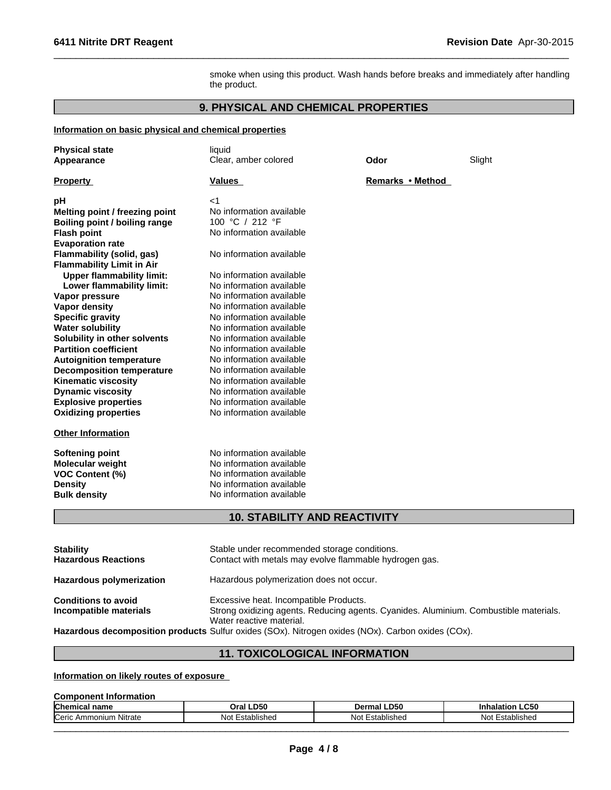smoke when using this product. Wash hands before breaks and immediately after handling the product.

 $\overline{\phantom{a}}$  ,  $\overline{\phantom{a}}$  ,  $\overline{\phantom{a}}$  ,  $\overline{\phantom{a}}$  ,  $\overline{\phantom{a}}$  ,  $\overline{\phantom{a}}$  ,  $\overline{\phantom{a}}$  ,  $\overline{\phantom{a}}$  ,  $\overline{\phantom{a}}$  ,  $\overline{\phantom{a}}$  ,  $\overline{\phantom{a}}$  ,  $\overline{\phantom{a}}$  ,  $\overline{\phantom{a}}$  ,  $\overline{\phantom{a}}$  ,  $\overline{\phantom{a}}$  ,  $\overline{\phantom{a}}$ 

# **9. PHYSICAL AND CHEMICAL PROPERTIES**

# **Information on basic physical and chemical properties**

| <b>Physical state</b>            | liquid                              |                  |        |  |
|----------------------------------|-------------------------------------|------------------|--------|--|
| Appearance                       | Clear, amber colored                | Odor             | Slight |  |
| <b>Property</b>                  | <b>Values</b>                       | Remarks • Method |        |  |
|                                  |                                     |                  |        |  |
| pH                               | $<$ 1                               |                  |        |  |
| Melting point / freezing point   | No information available            |                  |        |  |
| Boiling point / boiling range    | 100 °C / 212 °F                     |                  |        |  |
| <b>Flash point</b>               | No information available            |                  |        |  |
| <b>Evaporation rate</b>          |                                     |                  |        |  |
| <b>Flammability (solid, gas)</b> | No information available            |                  |        |  |
| <b>Flammability Limit in Air</b> |                                     |                  |        |  |
| <b>Upper flammability limit:</b> | No information available            |                  |        |  |
| Lower flammability limit:        | No information available            |                  |        |  |
| Vapor pressure                   | No information available            |                  |        |  |
| <b>Vapor density</b>             | No information available            |                  |        |  |
| <b>Specific gravity</b>          | No information available            |                  |        |  |
| <b>Water solubility</b>          | No information available            |                  |        |  |
| Solubility in other solvents     | No information available            |                  |        |  |
| <b>Partition coefficient</b>     | No information available            |                  |        |  |
| <b>Autoignition temperature</b>  | No information available            |                  |        |  |
| <b>Decomposition temperature</b> | No information available            |                  |        |  |
| <b>Kinematic viscosity</b>       | No information available            |                  |        |  |
| <b>Dynamic viscosity</b>         | No information available            |                  |        |  |
| <b>Explosive properties</b>      | No information available            |                  |        |  |
| <b>Oxidizing properties</b>      | No information available            |                  |        |  |
| <b>Other Information</b>         |                                     |                  |        |  |
| <b>Softening point</b>           | No information available            |                  |        |  |
| <b>Molecular weight</b>          | No information available            |                  |        |  |
| <b>VOC Content (%)</b>           | No information available            |                  |        |  |
| <b>Density</b>                   | No information available            |                  |        |  |
| <b>Bulk density</b>              | No information available            |                  |        |  |
|                                  | <b>10. STABILITY AND REACTIVITY</b> |                  |        |  |
|                                  |                                     |                  |        |  |

| <b>Stability</b><br><b>Hazardous Reactions</b>       | Stable under recommended storage conditions.<br>Contact with metals may evolve flammable hydrogen gas.                                                      |
|------------------------------------------------------|-------------------------------------------------------------------------------------------------------------------------------------------------------------|
| Hazardous polymerization                             | Hazardous polymerization does not occur.                                                                                                                    |
| <b>Conditions to avoid</b><br>Incompatible materials | Excessive heat. Incompatible Products.<br>Strong oxidizing agents. Reducing agents. Cyanides. Aluminium. Combustible materials.<br>Water reactive material. |
|                                                      | Hazardous decomposition products Sulfur oxides (SOx). Nitrogen oxides (NOx). Carbon oxides (COx).                                                           |

# **11. TOXICOLOGICAL INFORMATION**

# **Information on likely routes of exposure**

# **Component Information**

| <b>Chemical name</b>                  | LD50<br>Oral                   | LD50-<br>⊃ermal '                                                                 | $\sim$ $\sim$<br><b>Inhalation LC50</b> |
|---------------------------------------|--------------------------------|-----------------------------------------------------------------------------------|-----------------------------------------|
| .<br>"<br>Ammonium<br>ı Nıtrate<br>ᇇᇚ | : Letablichar<br>Not<br>машыны | Nishe∆<br><b>Not</b><br>$ \circ$ $\circ$ $\circ$ $\circ$ $\circ$ $\circ$<br>-siao | N٥<br>-stablished                       |
|                                       |                                |                                                                                   |                                         |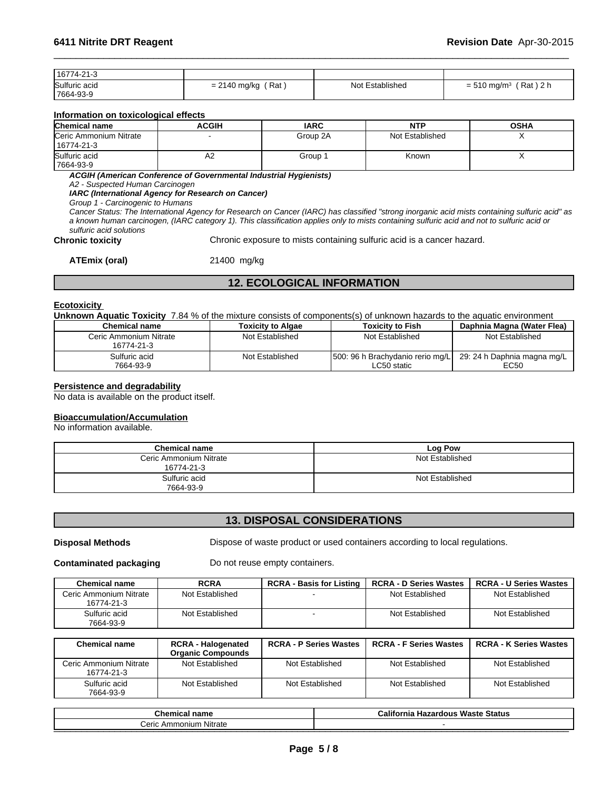| 16774-21-3    |                               |                 |                                         |
|---------------|-------------------------------|-----------------|-----------------------------------------|
| Sulfuric acid | Rat<br>2140 mg/kg<br>$= 2140$ | Not Established | ´Rat ) 2 h<br>$= 510$ mg/m <sup>3</sup> |
| 7664-93-9     |                               |                 |                                         |

# **Information on toxicological effects**

| <b>Chemical name</b>                 | <b>ACGIH</b> | <b>IARC</b> | <b>NTP</b>      | <b>OSHA</b> |
|--------------------------------------|--------------|-------------|-----------------|-------------|
| Ceric Ammonium Nitrate<br>16774-21-3 |              | Group 2A    | Not Established |             |
| Sulfuric acid<br>7664-93-9           | ΑZ           | Group       | Known           |             |

*ACGIH (American Conference of Governmental Industrial Hygienists)*

*A2 - Suspected Human Carcinogen*

*IARC (International Agency for Research on Cancer)*

*Group 1 - Carcinogenic to Humans*

*Cancer Status: The International Agency for Research on Cancer (IARC) has classified "strong inorganic acid mists containing sulfuric acid" as a known human carcinogen, (IARC category 1). This classification applies only to mists containing sulfuric acid and not to sulfuric acid or sulfuric acid solutions*

**Chronic toxicity** Chronic exposure to mists containing sulfuric acid is a cancer hazard.

 $\overline{\phantom{a}}$  ,  $\overline{\phantom{a}}$  ,  $\overline{\phantom{a}}$  ,  $\overline{\phantom{a}}$  ,  $\overline{\phantom{a}}$  ,  $\overline{\phantom{a}}$  ,  $\overline{\phantom{a}}$  ,  $\overline{\phantom{a}}$  ,  $\overline{\phantom{a}}$  ,  $\overline{\phantom{a}}$  ,  $\overline{\phantom{a}}$  ,  $\overline{\phantom{a}}$  ,  $\overline{\phantom{a}}$  ,  $\overline{\phantom{a}}$  ,  $\overline{\phantom{a}}$  ,  $\overline{\phantom{a}}$ 

**ATEmix (oral)** 21400 mg/kg

# **12. ECOLOGICAL INFORMATION**

#### **Ecotoxicity**

**Unknown Aquatic Toxicity** 7.84 % of the mixture consists of components(s) of unknown hazards to the aquatic environment

| Chemical name          | Toxicitv to Algae | <b>Toxicity to Fish</b>           | Daphnia Magna (Water Flea)  |
|------------------------|-------------------|-----------------------------------|-----------------------------|
| Ceric Ammonium Nitrate | Not Established   | Not Established                   | Not Established             |
| 16774-21-3             |                   |                                   |                             |
| Sulfuric acid          | Not Established   | 1500: 96 h Brachydanio rerio mg/L | 29: 24 h Daphnia magna mg/L |
| 7664-93-9              |                   | LC50 static                       | EC50                        |

#### **Persistence and degradability**

No data is available on the product itself.

# **Bioaccumulation/Accumulation**

No information available.

| <b>Chemical name</b>                 | Log Pow         |
|--------------------------------------|-----------------|
| Ceric Ammonium Nitrate<br>16774-21-3 | Not Established |
| Sulfuric acid<br>7664-93-9           | Not Established |

# **13. DISPOSAL CONSIDERATIONS**

**Disposal Methods** Dispose of waste product or used containers according to local regulations.

**Contaminated packaging Do not reuse empty containers.** 

| <b>Chemical name</b>                 | <b>RCRA</b>     | <b>RCRA - Basis for Listing</b> | <b>RCRA - D Series Wastes</b> | <b>RCRA - U Series Wastes</b> |
|--------------------------------------|-----------------|---------------------------------|-------------------------------|-------------------------------|
| Ceric Ammonium Nitrate<br>16774-21-3 | Not Established |                                 | Not Established               | Not Established               |
| Sulfuric acid<br>7664-93-9           | Not Established | $\overline{\phantom{a}}$        | Not Established               | Not Established               |

| <b>Chemical name</b>                 | <b>RCRA - Halogenated</b><br><b>Organic Compounds</b> | <b>RCRA - P Series Wastes</b> | <b>RCRA - F Series Wastes</b> | <b>RCRA - K Series Wastes</b> |
|--------------------------------------|-------------------------------------------------------|-------------------------------|-------------------------------|-------------------------------|
| Ceric Ammonium Nitrate<br>16774-21-3 | Not Established                                       | Not Established               | Not Established               | Not Established               |
| Sulfuric acid<br>7664-93-9           | Not Established                                       | Not Established               | Not Established               | Not Established               |

| <b>Chemical name</b>                 | <br>$\sim$ $\sim$ $\sim$<br><b>Waste Status</b><br>$\cdots$<br>Califor<br><b>Hazardous</b><br>nıa |
|--------------------------------------|---------------------------------------------------------------------------------------------------|
| Ammonium Nitrate<br>$^{\circ}$<br>◡▭ |                                                                                                   |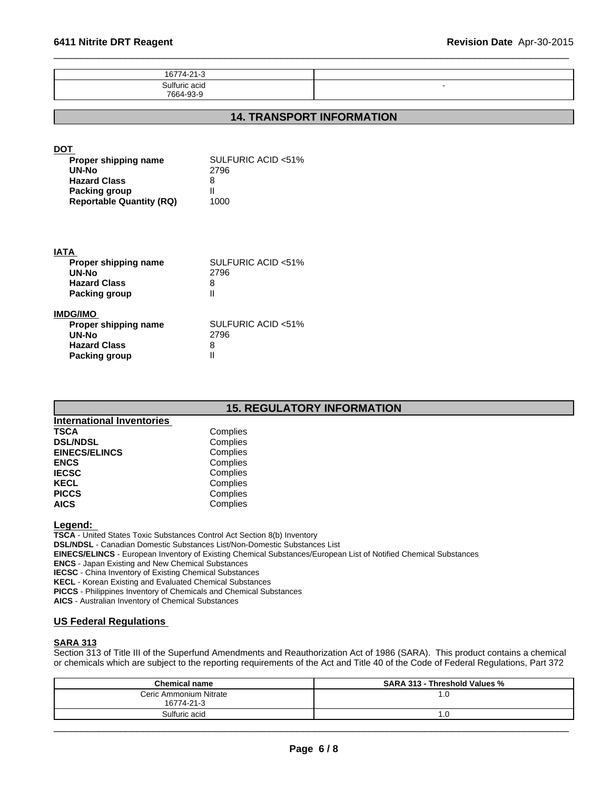| 16774-21-3                                                                                                                    |                                              |                                  |
|-------------------------------------------------------------------------------------------------------------------------------|----------------------------------------------|----------------------------------|
| Sulfuric acid<br>7664-93-9                                                                                                    |                                              |                                  |
|                                                                                                                               |                                              |                                  |
|                                                                                                                               |                                              | <b>14. TRANSPORT INFORMATION</b> |
| <b>DOT</b><br>Proper shipping name<br>UN-No<br><b>Hazard Class</b><br><b>Packing group</b><br><b>Reportable Quantity (RQ)</b> | SULFURIC ACID <51%<br>2796<br>8<br>Ш<br>1000 |                                  |
| <b>IATA</b><br>Proper shipping name<br><b>UN-No</b><br><b>Hazard Class</b><br><b>Packing group</b>                            | SULFURIC ACID <51%<br>2796<br>8<br>Ш         |                                  |
| IMDG/IMO<br>Proper shipping name<br>UN-No<br><b>Hazard Class</b><br><b>Packing group</b>                                      | SULFURIC ACID <51%<br>2796<br>8<br>Ш         |                                  |

 $\overline{\phantom{a}}$  ,  $\overline{\phantom{a}}$  ,  $\overline{\phantom{a}}$  ,  $\overline{\phantom{a}}$  ,  $\overline{\phantom{a}}$  ,  $\overline{\phantom{a}}$  ,  $\overline{\phantom{a}}$  ,  $\overline{\phantom{a}}$  ,  $\overline{\phantom{a}}$  ,  $\overline{\phantom{a}}$  ,  $\overline{\phantom{a}}$  ,  $\overline{\phantom{a}}$  ,  $\overline{\phantom{a}}$  ,  $\overline{\phantom{a}}$  ,  $\overline{\phantom{a}}$  ,  $\overline{\phantom{a}}$ 

# **15. REGULATORY INFORMATION**

| <b>International Inventories</b> |          |
|----------------------------------|----------|
| <b>TSCA</b>                      | Complies |
| <b>DSL/NDSL</b>                  | Complies |
| <b>EINECS/ELINCS</b>             | Complies |
| <b>ENCS</b>                      | Complies |
| <b>IECSC</b>                     | Complies |
| <b>KECL</b>                      | Complies |
| <b>PICCS</b>                     | Complies |
| <b>AICS</b>                      | Complies |

**Legend:** 

**TSCA** - United States Toxic Substances Control Act Section 8(b) Inventory **DSL/NDSL** - Canadian Domestic Substances List/Non-Domestic Substances List **EINECS/ELINCS** - European Inventory of Existing Chemical Substances/European List of Notified Chemical Substances **ENCS** - Japan Existing and New Chemical Substances **IECSC** - China Inventory of Existing Chemical Substances **KECL** - Korean Existing and Evaluated Chemical Substances **PICCS** - Philippines Inventory of Chemicals and Chemical Substances **AICS** - Australian Inventory of Chemical Substances

# **US Federal Regulations**

# **SARA 313**

Section 313 of Title III of the Superfund Amendments and Reauthorization Act of 1986 (SARA). This product contains a chemical or chemicals which are subject to the reporting requirements of the Act and Title 40 of the Code of Federal Regulations, Part 372

| <b>Chemical name</b>   | <b>SARA 313 - Threshold Values %</b> |
|------------------------|--------------------------------------|
| Ceric Ammonium Nitrate | 1.0                                  |
| 16774-21-3             |                                      |
| Sulfuric acid          | 7.U                                  |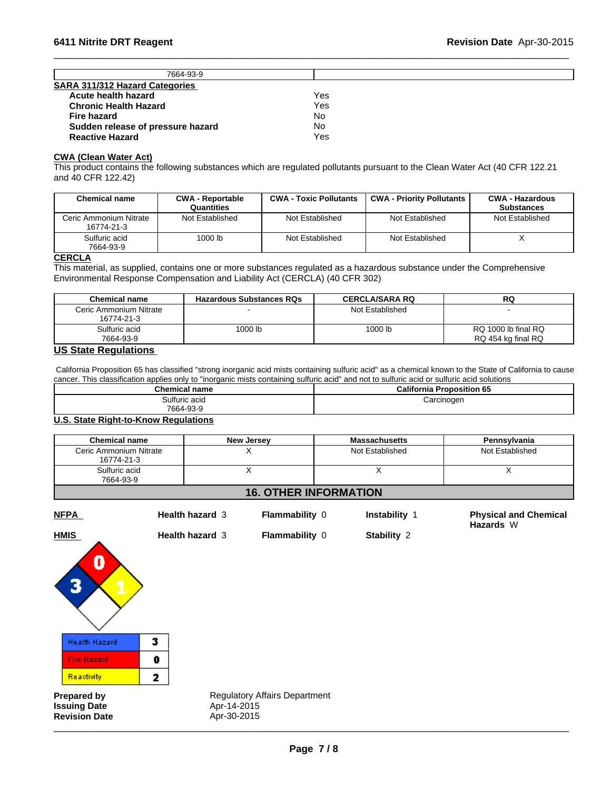| 7664-93-9                             |     |  |
|---------------------------------------|-----|--|
| <b>SARA 311/312 Hazard Categories</b> |     |  |
| Acute health hazard                   | Yes |  |
| <b>Chronic Health Hazard</b>          | Yes |  |
| Fire hazard                           | No  |  |
| Sudden release of pressure hazard     | No  |  |
| <b>Reactive Hazard</b>                | Yes |  |

 $\overline{\phantom{a}}$  ,  $\overline{\phantom{a}}$  ,  $\overline{\phantom{a}}$  ,  $\overline{\phantom{a}}$  ,  $\overline{\phantom{a}}$  ,  $\overline{\phantom{a}}$  ,  $\overline{\phantom{a}}$  ,  $\overline{\phantom{a}}$  ,  $\overline{\phantom{a}}$  ,  $\overline{\phantom{a}}$  ,  $\overline{\phantom{a}}$  ,  $\overline{\phantom{a}}$  ,  $\overline{\phantom{a}}$  ,  $\overline{\phantom{a}}$  ,  $\overline{\phantom{a}}$  ,  $\overline{\phantom{a}}$ 

#### **CWA (Clean Water Act)**

This product contains the following substances which are regulated pollutants pursuant to the Clean Water Act (40 CFR 122.21 and 40 CFR 122.42)

| <b>Chemical name</b>                 | <b>CWA - Reportable</b><br>Quantities | <b>CWA - Toxic Pollutants</b> | <b>CWA - Priority Pollutants</b> | <b>CWA - Hazardous</b><br><b>Substances</b> |
|--------------------------------------|---------------------------------------|-------------------------------|----------------------------------|---------------------------------------------|
| Ceric Ammonium Nitrate<br>16774-21-3 | Not Established                       | Not Established               | Not Established                  | Not Established                             |
| Sulfuric acid<br>7664-93-9           | 1000 lb                               | Not Established               | Not Established                  |                                             |

# **CERCLA**

This material, as supplied, contains one or more substances regulated as a hazardous substance under the Comprehensive Environmental Response Compensation and Liability Act (CERCLA) (40 CFR 302)

| <b>Chemical name</b>   | <b>Hazardous Substances RQs</b> | <b>CERCLA/SARA RQ</b> | RQ                  |
|------------------------|---------------------------------|-----------------------|---------------------|
| Ceric Ammonium Nitrate |                                 | Not Established       |                     |
| 16774-21-3             |                                 |                       |                     |
| Sulfuric acid          | 1000 lb                         | 1000 lb               | RQ 1000 lb final RQ |
| 7664-93-9              |                                 |                       | RQ 454 kg final RQ  |

# **US State Regulations**

 California Proposition 65 has classified "strong inorganic acid mists containing sulfuric acid" as a chemical known to the State of California to cause cancer. This classification applies only to "inorganic mists containing sulfuric acid" and not to sulfuric acid or sulfuric acid solutions

| California<br><b>Proposition 65</b> |
|-------------------------------------|
| :arcinogen<br>$\cdot$ $\cdot$       |
|                                     |

#### **U.S. State Right-to-Know Regulations**

| <b>Chemical name</b>                                                                                                                 | <b>New Jersey</b> | <b>Massachusetts</b> | Pennsylvania    |  |
|--------------------------------------------------------------------------------------------------------------------------------------|-------------------|----------------------|-----------------|--|
| Ceric Ammonium Nitrate<br>16774-21-3                                                                                                 |                   | Not Established      | Not Established |  |
| Sulfuric acid<br>7664-93-9                                                                                                           |                   |                      |                 |  |
| $\overline{18}$ at $\overline{11}$ in $\overline{17}$ and $\overline{18}$ in $\overline{18}$ and $\overline{11}$ and $\overline{11}$ |                   |                      |                 |  |

# **16. OTHER INFORMATION**

| <b>NFPA</b> |  |
|-------------|--|
|-------------|--|

**Health hazard** 3 **Flammability** 0 **Instability** 1

**Health hazard** 3 **Flammability** 0 **Stability** 2

**Physical and Chemical Hazards** W



**Prepared by Regulatory Affairs Department Revision Date** Apr-30-2015